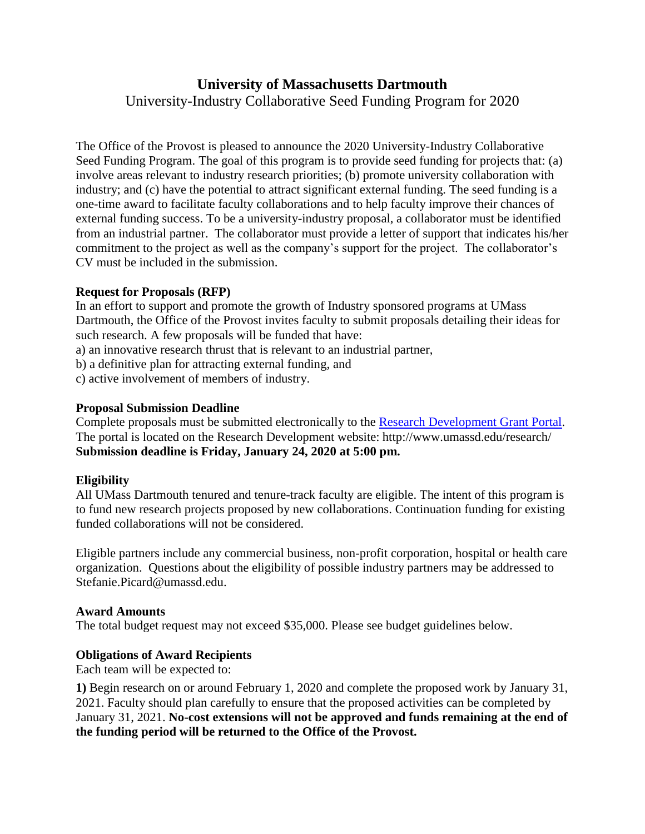# **University of Massachusetts Dartmouth** University-Industry Collaborative Seed Funding Program for 2020

The Office of the Provost is pleased to announce the 2020 University-Industry Collaborative Seed Funding Program. The goal of this program is to provide seed funding for projects that: (a) involve areas relevant to industry research priorities; (b) promote university collaboration with industry; and (c) have the potential to attract significant external funding. The seed funding is a one-time award to facilitate faculty collaborations and to help faculty improve their chances of external funding success. To be a university-industry proposal, a collaborator must be identified from an industrial partner. The collaborator must provide a letter of support that indicates his/her commitment to the project as well as the company's support for the project. The collaborator's CV must be included in the submission.

## **Request for Proposals (RFP)**

In an effort to support and promote the growth of Industry sponsored programs at UMass Dartmouth, the Office of the Provost invites faculty to submit proposals detailing their ideas for such research. A few proposals will be funded that have:

a) an innovative research thrust that is relevant to an industrial partner,

b) a definitive plan for attracting external funding, and

c) active involvement of members of industry.

## **Proposal Submission Deadline**

Complete proposals must be submitted electronically to the [Research Development Grant Portal.](https://umassd.infoready4.com/) The portal is located on the Research Development website: http://www.umassd.edu/research/ **Submission deadline is Friday, January 24, 2020 at 5:00 pm.**

## **Eligibility**

All UMass Dartmouth tenured and tenure-track faculty are eligible. The intent of this program is to fund new research projects proposed by new collaborations. Continuation funding for existing funded collaborations will not be considered.

Eligible partners include any commercial business, non-profit corporation, hospital or health care organization. Questions about the eligibility of possible industry partners may be addressed to Stefanie.Picard@umassd.edu.

#### **Award Amounts**

The total budget request may not exceed \$35,000. Please see budget guidelines below.

## **Obligations of Award Recipients**

Each team will be expected to:

**1)** Begin research on or around February 1, 2020 and complete the proposed work by January 31, 2021. Faculty should plan carefully to ensure that the proposed activities can be completed by January 31, 2021. **No-cost extensions will not be approved and funds remaining at the end of the funding period will be returned to the Office of the Provost.**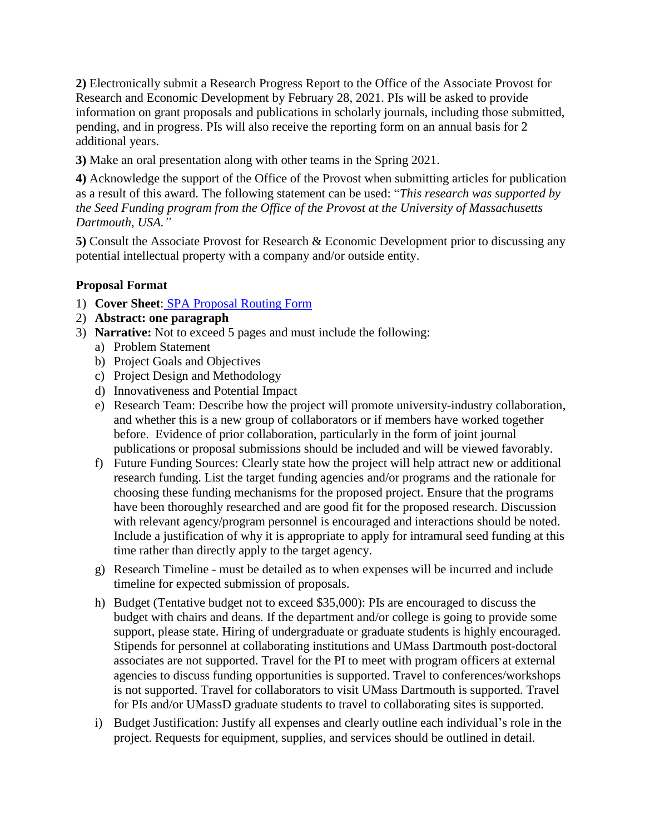**2)** Electronically submit a Research Progress Report to the Office of the Associate Provost for Research and Economic Development by February 28, 2021. PIs will be asked to provide information on grant proposals and publications in scholarly journals, including those submitted, pending, and in progress. PIs will also receive the reporting form on an annual basis for 2 additional years.

**3)** Make an oral presentation along with other teams in the Spring 2021.

**4)** Acknowledge the support of the Office of the Provost when submitting articles for publication as a result of this award. The following statement can be used: "*This research was supported by the Seed Funding program from the Office of the Provost at the University of Massachusetts Dartmouth, USA."*

**5)** Consult the Associate Provost for Research & Economic Development prior to discussing any potential intellectual property with a company and/or outside entity.

# **Proposal Format**

- 1) **Cover Sheet**: [SPA Proposal Routing Form](http://www.umassd.edu/spa/forms/)
- 2) **Abstract: one paragraph**
- 3) **Narrative:** Not to exceed 5 pages and must include the following:
	- a) Problem Statement
	- b) Project Goals and Objectives
	- c) Project Design and Methodology
	- d) Innovativeness and Potential Impact
	- e) Research Team: Describe how the project will promote university-industry collaboration, and whether this is a new group of collaborators or if members have worked together before. Evidence of prior collaboration, particularly in the form of joint journal publications or proposal submissions should be included and will be viewed favorably.
	- f) Future Funding Sources: Clearly state how the project will help attract new or additional research funding. List the target funding agencies and/or programs and the rationale for choosing these funding mechanisms for the proposed project. Ensure that the programs have been thoroughly researched and are good fit for the proposed research. Discussion with relevant agency/program personnel is encouraged and interactions should be noted. Include a justification of why it is appropriate to apply for intramural seed funding at this time rather than directly apply to the target agency.
	- g) Research Timeline must be detailed as to when expenses will be incurred and include timeline for expected submission of proposals.
	- h) Budget (Tentative budget not to exceed \$35,000): PIs are encouraged to discuss the budget with chairs and deans. If the department and/or college is going to provide some support, please state. Hiring of undergraduate or graduate students is highly encouraged. Stipends for personnel at collaborating institutions and UMass Dartmouth post-doctoral associates are not supported. Travel for the PI to meet with program officers at external agencies to discuss funding opportunities is supported. Travel to conferences/workshops is not supported. Travel for collaborators to visit UMass Dartmouth is supported. Travel for PIs and/or UMassD graduate students to travel to collaborating sites is supported.
	- i) Budget Justification: Justify all expenses and clearly outline each individual's role in the project. Requests for equipment, supplies, and services should be outlined in detail.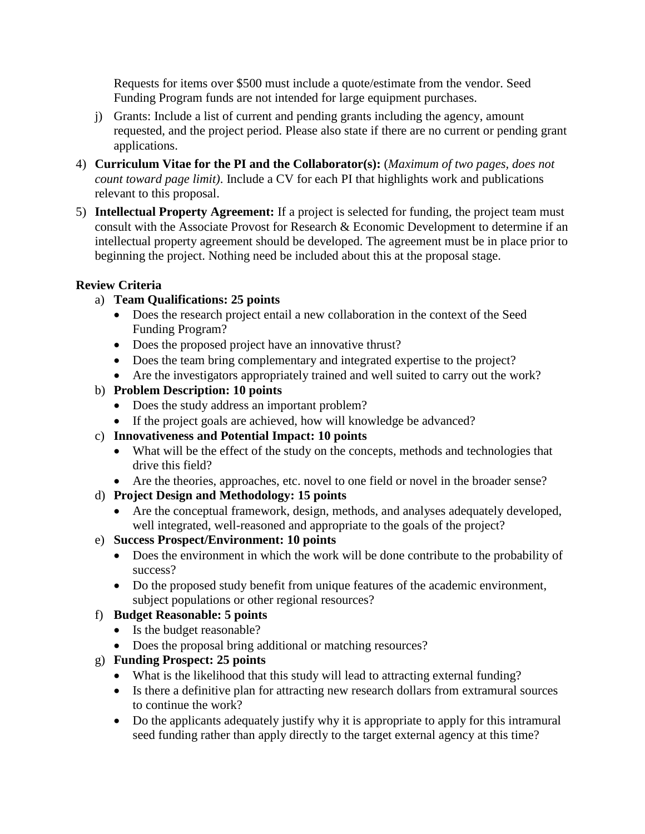Requests for items over \$500 must include a quote/estimate from the vendor. Seed Funding Program funds are not intended for large equipment purchases.

- j) Grants: Include a list of current and pending grants including the agency, amount requested, and the project period. Please also state if there are no current or pending grant applications.
- 4) **Curriculum Vitae for the PI and the Collaborator(s):** (*Maximum of two pages, does not count toward page limit)*. Include a CV for each PI that highlights work and publications relevant to this proposal.
- 5) **Intellectual Property Agreement:** If a project is selected for funding, the project team must consult with the Associate Provost for Research & Economic Development to determine if an intellectual property agreement should be developed. The agreement must be in place prior to beginning the project. Nothing need be included about this at the proposal stage.

## **Review Criteria**

- a) **Team Qualifications: 25 points**
	- Does the research project entail a new collaboration in the context of the Seed Funding Program?
	- Does the proposed project have an innovative thrust?
	- Does the team bring complementary and integrated expertise to the project?
	- Are the investigators appropriately trained and well suited to carry out the work?
- b) **Problem Description: 10 points**
	- Does the study address an important problem?
	- If the project goals are achieved, how will knowledge be advanced?
- c) **Innovativeness and Potential Impact: 10 points**
	- What will be the effect of the study on the concepts, methods and technologies that drive this field?
	- Are the theories, approaches, etc. novel to one field or novel in the broader sense?
- d) **Project Design and Methodology: 15 points**
	- Are the conceptual framework, design, methods, and analyses adequately developed, well integrated, well-reasoned and appropriate to the goals of the project?
- e) **Success Prospect/Environment: 10 points**
	- Does the environment in which the work will be done contribute to the probability of success?
	- Do the proposed study benefit from unique features of the academic environment, subject populations or other regional resources?
- f) **Budget Reasonable: 5 points**
	- Is the budget reasonable?
	- Does the proposal bring additional or matching resources?
- g) **Funding Prospect: 25 points**
	- What is the likelihood that this study will lead to attracting external funding?
	- Is there a definitive plan for attracting new research dollars from extramural sources to continue the work?
	- Do the applicants adequately justify why it is appropriate to apply for this intramural seed funding rather than apply directly to the target external agency at this time?